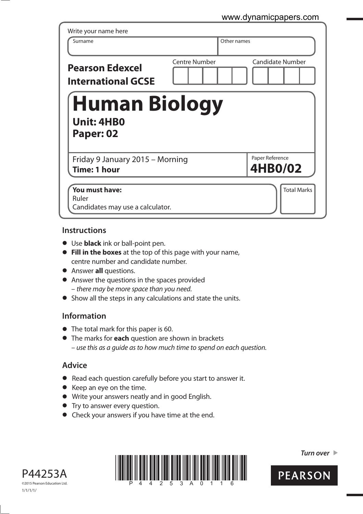## www.dynamicpapers.com

| Write your name here<br>Surname                        |                      | Other names                       |
|--------------------------------------------------------|----------------------|-----------------------------------|
| <b>Pearson Edexcel</b><br><b>International GCSE</b>    | <b>Centre Number</b> | <b>Candidate Number</b>           |
| <b>Human Biology</b><br><b>Unit: 4HB0</b><br>Paper: 02 |                      |                                   |
| Friday 9 January 2015 - Morning<br>Time: 1 hour        |                      | Paper Reference<br><b>4HB0/02</b> |
| You must have:                                         |                      | <b>Total Marks</b>                |

## **Instructions**

- **t** Use **black** ink or ball-point pen.
- **Fill in the boxes** at the top of this page with your name, centre number and candidate number.
- **•** Answer **all** questions.
- **•** Answer the questions in the spaces provided – there may be more space than you need.
- **•** Show all the steps in any calculations and state the units.

## **Information**

- **•** The total mark for this paper is 60.
- **t** The marks for **each** question are shown in brackets – use this as a guide as to how much time to spend on each question.

## **Advice**

- **t** Read each question carefully before you start to answer it.
- **t** Keep an eye on the time.
- **t** Write your answers neatly and in good English.
- **•** Try to answer every question.
- **•** Check your answers if you have time at the end.





*Turn over* 

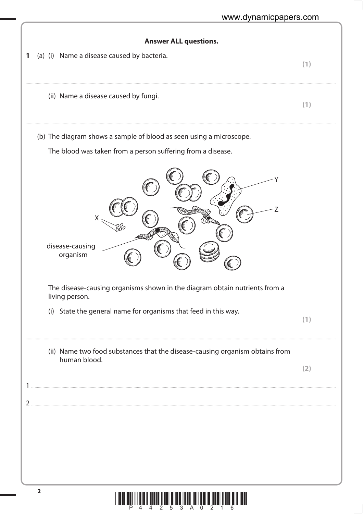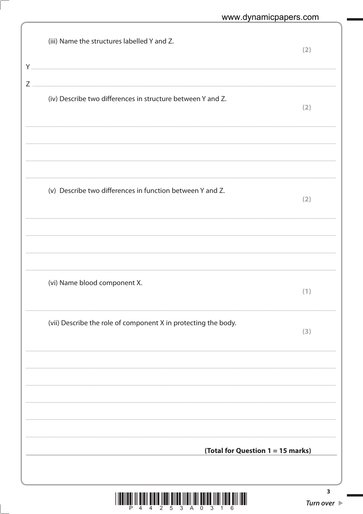| (iii) Name the structures labelled Y and Z.                    | (2) |
|----------------------------------------------------------------|-----|
| (iv) Describe two differences in structure between Y and Z.    | (2) |
|                                                                |     |
| (v) Describe two differences in function between Y and Z.      | (2) |
| (vi) Name blood component X.                                   |     |
| (vii) Describe the role of component X in protecting the body. | (1) |
|                                                                | (3) |
|                                                                |     |
| (Total for Question 1 = 15 marks)                              |     |

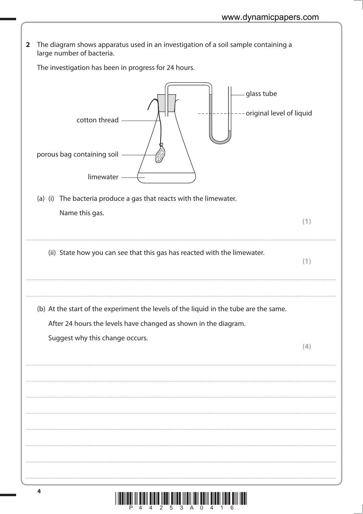2 The diagram shows apparatus used in an investigation of a soil sample containing a large number of bacteria.

The investigation has been in progress for 24 hours

| glass tube<br>original level of liquid<br>cotton thread<br>porous bag containing soil<br>limewater<br>(a) (i) The bacteria produce a gas that reacts with the limewater.                    |     |
|---------------------------------------------------------------------------------------------------------------------------------------------------------------------------------------------|-----|
| Name this gas.                                                                                                                                                                              | (1) |
| (ii) State how you can see that this gas has reacted with the limewater.                                                                                                                    | (1) |
| (b) At the start of the experiment the levels of the liquid in the tube are the same.<br>After 24 hours the levels have changed as shown in the diagram.<br>Suggest why this change occurs. | 4   |
|                                                                                                                                                                                             |     |
|                                                                                                                                                                                             |     |

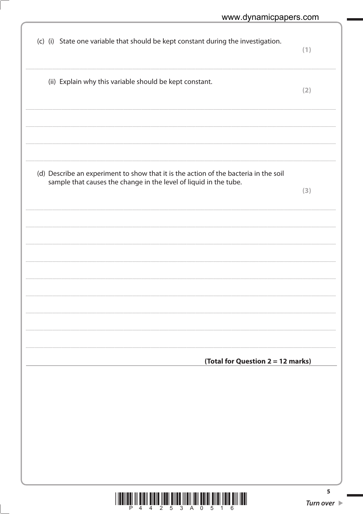| (c) (i) State one variable that should be kept constant during the investigation.                                                                         | (1) |
|-----------------------------------------------------------------------------------------------------------------------------------------------------------|-----|
| (ii) Explain why this variable should be kept constant.                                                                                                   | (2) |
|                                                                                                                                                           |     |
| (d) Describe an experiment to show that it is the action of the bacteria in the soil<br>sample that causes the change in the level of liquid in the tube. | (3) |
|                                                                                                                                                           |     |
|                                                                                                                                                           |     |
|                                                                                                                                                           |     |
| (Total for Question 2 = 12 marks)                                                                                                                         |     |
|                                                                                                                                                           |     |
|                                                                                                                                                           |     |
|                                                                                                                                                           | 5   |

 $\begin{array}{c} \text{if} \ \text{if} \ \text{if} \ \text{if} \ \text{if} \ \text{if} \ \text{if} \ \text{if} \ \text{if} \ \text{if} \ \text{if} \ \text{if} \ \text{if} \ \text{if} \ \text{if} \ \text{if} \ \text{if} \ \text{if} \ \text{if} \ \text{if} \ \text{if} \ \text{if} \ \text{if} \ \text{if} \ \text{if} \ \text{if} \ \text{if} \ \text{if} \ \text{if} \ \text{if} \ \text{if} \ \text{if} \ \text{if} \ \text{if} \ \text{if} \ \text{$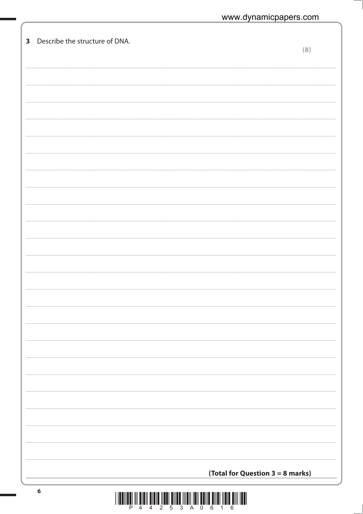| 3 Describe the structure of DNA.                                                                                                                                                                                                                                                                                                                                                                                                                                   |                                  | (8) |
|--------------------------------------------------------------------------------------------------------------------------------------------------------------------------------------------------------------------------------------------------------------------------------------------------------------------------------------------------------------------------------------------------------------------------------------------------------------------|----------------------------------|-----|
|                                                                                                                                                                                                                                                                                                                                                                                                                                                                    |                                  |     |
|                                                                                                                                                                                                                                                                                                                                                                                                                                                                    |                                  |     |
|                                                                                                                                                                                                                                                                                                                                                                                                                                                                    |                                  |     |
|                                                                                                                                                                                                                                                                                                                                                                                                                                                                    |                                  |     |
|                                                                                                                                                                                                                                                                                                                                                                                                                                                                    |                                  |     |
|                                                                                                                                                                                                                                                                                                                                                                                                                                                                    |                                  |     |
|                                                                                                                                                                                                                                                                                                                                                                                                                                                                    |                                  |     |
|                                                                                                                                                                                                                                                                                                                                                                                                                                                                    |                                  |     |
|                                                                                                                                                                                                                                                                                                                                                                                                                                                                    |                                  |     |
|                                                                                                                                                                                                                                                                                                                                                                                                                                                                    |                                  |     |
|                                                                                                                                                                                                                                                                                                                                                                                                                                                                    |                                  |     |
|                                                                                                                                                                                                                                                                                                                                                                                                                                                                    |                                  |     |
|                                                                                                                                                                                                                                                                                                                                                                                                                                                                    |                                  |     |
|                                                                                                                                                                                                                                                                                                                                                                                                                                                                    |                                  |     |
|                                                                                                                                                                                                                                                                                                                                                                                                                                                                    |                                  |     |
|                                                                                                                                                                                                                                                                                                                                                                                                                                                                    |                                  |     |
|                                                                                                                                                                                                                                                                                                                                                                                                                                                                    |                                  |     |
|                                                                                                                                                                                                                                                                                                                                                                                                                                                                    |                                  |     |
|                                                                                                                                                                                                                                                                                                                                                                                                                                                                    |                                  |     |
|                                                                                                                                                                                                                                                                                                                                                                                                                                                                    |                                  |     |
|                                                                                                                                                                                                                                                                                                                                                                                                                                                                    |                                  |     |
|                                                                                                                                                                                                                                                                                                                                                                                                                                                                    | (Total for Question 3 = 8 marks) |     |
| 6<br>$\begin{array}{c} \text{if} \ \text{if} \ \text{if} \ \text{if} \ \text{if} \ \text{if} \ \text{if} \ \text{if} \ \text{if} \ \text{if} \ \text{if} \ \text{if} \ \text{if} \ \text{if} \ \text{if} \ \text{if} \ \text{if} \ \text{if} \ \text{if} \ \text{if} \ \text{if} \ \text{if} \ \text{if} \ \text{if} \ \text{if} \ \text{if} \ \text{if} \ \text{if} \ \text{if} \ \text{if} \ \text{if} \ \text{if} \ \text{if} \ \text{if} \ \text{if} \ \text{$ |                                  |     |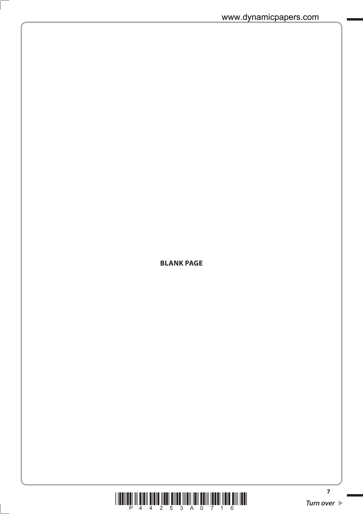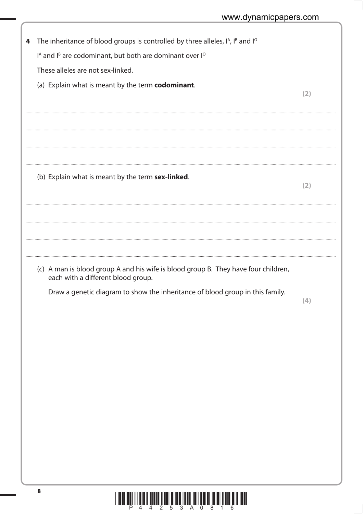| 4 | The inheritance of blood groups is controlled by three alleles, IA, IB and IO<br><sup>14</sup> and <sup>18</sup> are codominant, but both are dominant over <sup>10</sup> |     |
|---|---------------------------------------------------------------------------------------------------------------------------------------------------------------------------|-----|
|   | These alleles are not sex-linked.                                                                                                                                         |     |
|   | (a) Explain what is meant by the term codominant.                                                                                                                         | (2) |
|   |                                                                                                                                                                           |     |
|   | (b) Explain what is meant by the term sex-linked.                                                                                                                         | (2) |
|   |                                                                                                                                                                           |     |
|   | (c) A man is blood group A and his wife is blood group B. They have four children,<br>each with a different blood group.                                                  |     |
|   | Draw a genetic diagram to show the inheritance of blood group in this family.                                                                                             | (4) |
|   |                                                                                                                                                                           |     |
|   |                                                                                                                                                                           |     |
|   |                                                                                                                                                                           |     |
|   |                                                                                                                                                                           |     |
|   |                                                                                                                                                                           |     |
|   | $\mathbf{R}$                                                                                                                                                              |     |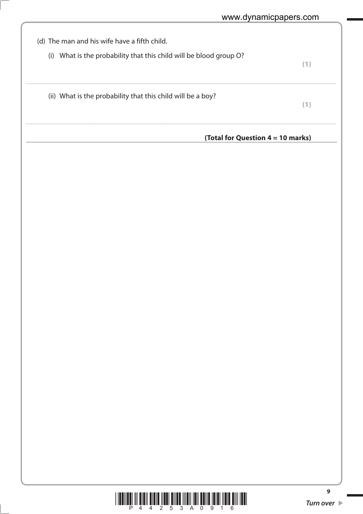| (d) The man and his wife have a fifth child.                          |                                   |
|-----------------------------------------------------------------------|-----------------------------------|
| What is the probability that this child will be blood group O?<br>(i) |                                   |
| (ii) What is the probability that this child will be a boy?           |                                   |
|                                                                       | (Total for Question 4 = 10 marks) |

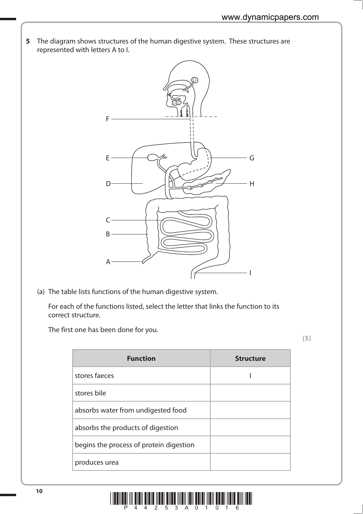**5** The diagram shows structures of the human digestive system. These structures are represented with letters A to I.



(a) The table lists functions of the human digestive system.

 For each of the functions listed, select the letter that links the function to its correct structure.

The first one has been done for you.

**(5)**

| <b>Function</b>                         | <b>Structure</b> |
|-----------------------------------------|------------------|
| stores faeces                           |                  |
| stores bile                             |                  |
| absorbs water from undigested food      |                  |
| absorbs the products of digestion       |                  |
| begins the process of protein digestion |                  |
| produces urea                           |                  |

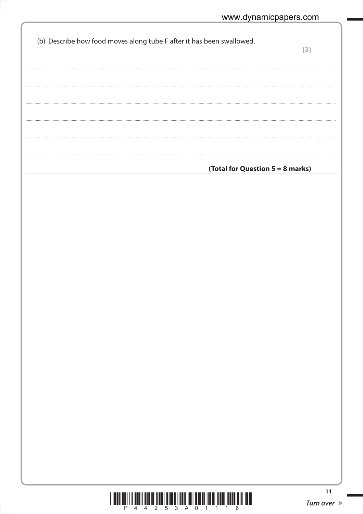| (b) Describe how food moves along tube F after it has been swallowed. | (3) |
|-----------------------------------------------------------------------|-----|
|                                                                       |     |
|                                                                       |     |
|                                                                       |     |
|                                                                       |     |
| (Total for Question 5 = 8 marks)                                      |     |
|                                                                       |     |
|                                                                       |     |
|                                                                       |     |
|                                                                       |     |
|                                                                       |     |
|                                                                       |     |
|                                                                       |     |
|                                                                       |     |
|                                                                       |     |
|                                                                       |     |
|                                                                       |     |
|                                                                       |     |
|                                                                       |     |
|                                                                       |     |

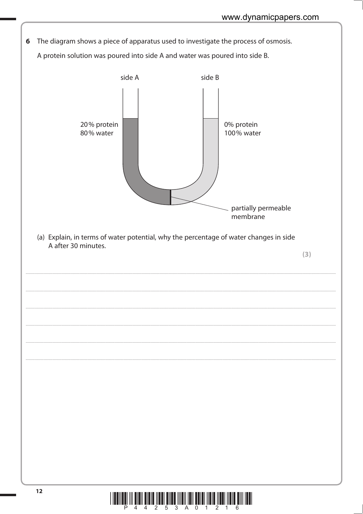6 The diagram shows a piece of apparatus used to investigate the process of osmosis.

A protein solution was poured into side A and water was poured into side B.

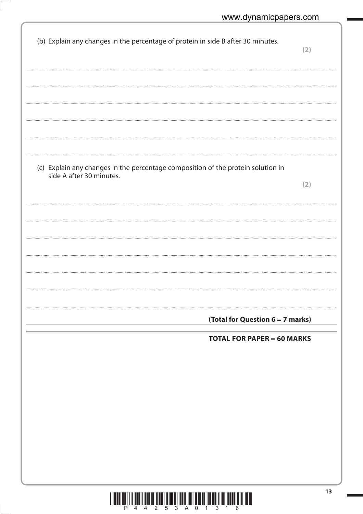| (b) Explain any changes in the percentage of protein in side B after 30 minutes.                             | (2) |
|--------------------------------------------------------------------------------------------------------------|-----|
|                                                                                                              |     |
|                                                                                                              |     |
| (c) Explain any changes in the percentage composition of the protein solution in<br>side A after 30 minutes. | (2) |
|                                                                                                              |     |
|                                                                                                              |     |
|                                                                                                              |     |
| (Total for Question 6 = 7 marks)                                                                             |     |
| <b>TOTAL FOR PAPER = 60 MARKS</b>                                                                            |     |
|                                                                                                              |     |
|                                                                                                              |     |
|                                                                                                              |     |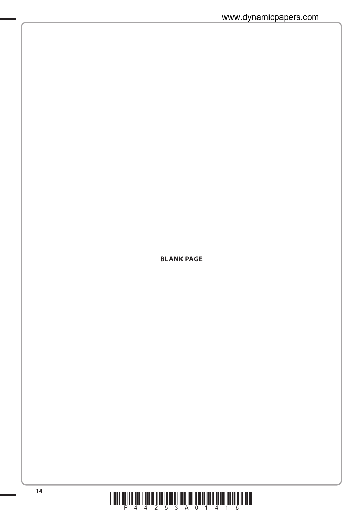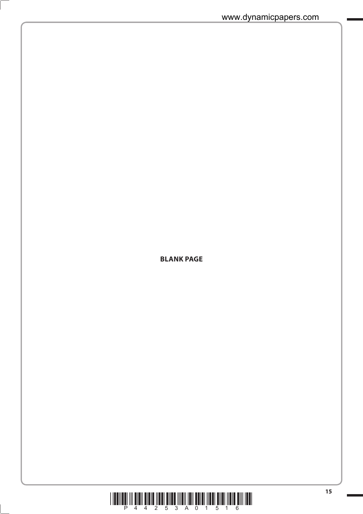